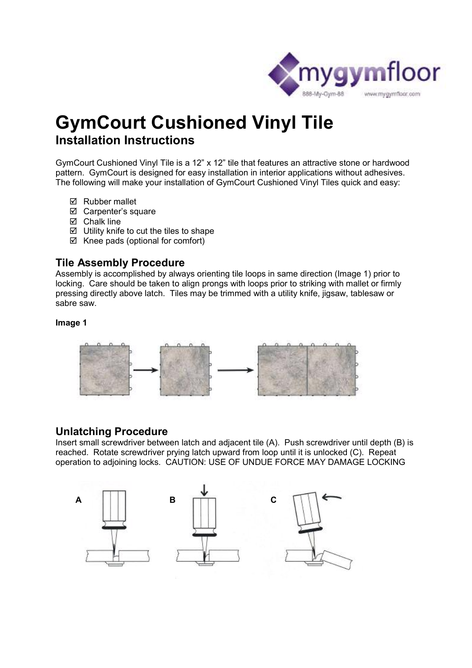

# **GymCourt Cushioned Vinyl Tile Installation Instructions**

GymCourt Cushioned Vinyl Tile is a 12" x 12" tile that features an attractive stone or hardwood pattern. GymCourt is designed for easy installation in interior applications without adhesives. The following will make your installation of GymCourt Cushioned Vinyl Tiles quick and easy:

- **Ø** Rubber mallet
- Carpenter's square
- $\boxtimes$  Chalk line
- $\boxtimes$  Utility knife to cut the tiles to shape
- $\boxtimes$  Knee pads (optional for comfort)

### **Tile Assembly Procedure**

Assembly is accomplished by always orienting tile loops in same direction (Image 1) prior to locking. Care should be taken to align prongs with loops prior to striking with mallet or firmly pressing directly above latch. Tiles may be trimmed with a utility knife, jigsaw, tablesaw or sabre saw.

#### **Image 1**



#### **Unlatching Procedure**

Insert small screwdriver between latch and adjacent tile (A). Push screwdriver until depth (B) is reached. Rotate screwdriver prying latch upward from loop until it is unlocked (C). Repeat operation to adjoining locks. CAUTION: USE OF UNDUE FORCE MAY DAMAGE LOCKING

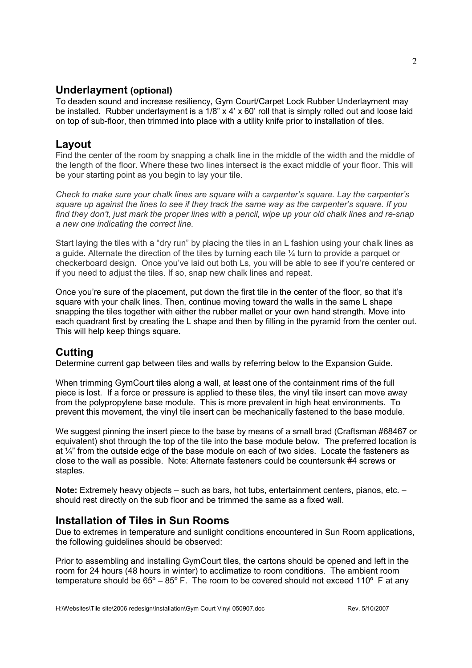#### **Underlayment (optional)**

To deaden sound and increase resiliency, Gym Court/Carpet Lock Rubber Underlayment may be installed. Rubber underlayment is a 1/8" x 4' x 60' roll that is simply rolled out and loose laid on top of sub-floor, then trimmed into place with a utility knife prior to installation of tiles.

#### **Layout**

Find the center of the room by snapping a chalk line in the middle of the width and the middle of the length of the floor. Where these two lines intersect is the exact middle of your floor. This will be your starting point as you begin to lay your tile.

*Check to make sure your chalk lines are square with a carpenter's square. Lay the carpenter's square up against the lines to see if they track the same way as the carpenter's square. If you find they don't, just mark the proper lines with a pencil, wipe up your old chalk lines and re-snap a new one indicating the correct line.* 

Start laying the tiles with a "dry run" by placing the tiles in an L fashion using your chalk lines as a guide. Alternate the direction of the tiles by turning each tile ¼ turn to provide a parquet or checkerboard design. Once you've laid out both Ls, you will be able to see if you're centered or if you need to adjust the tiles. If so, snap new chalk lines and repeat.

Once you're sure of the placement, put down the first tile in the center of the floor, so that it's square with your chalk lines. Then, continue moving toward the walls in the same L shape snapping the tiles together with either the rubber mallet or your own hand strength. Move into each quadrant first by creating the L shape and then by filling in the pyramid from the center out. This will help keep things square.

#### **Cutting**

Determine current gap between tiles and walls by referring below to the Expansion Guide.

When trimming GymCourt tiles along a wall, at least one of the containment rims of the full piece is lost. If a force or pressure is applied to these tiles, the vinyl tile insert can move away from the polypropylene base module. This is more prevalent in high heat environments. To prevent this movement, the vinyl tile insert can be mechanically fastened to the base module.

We suggest pinning the insert piece to the base by means of a small brad (Craftsman #68467 or equivalent) shot through the top of the tile into the base module below. The preferred location is at  $\frac{1}{4}$ " from the outside edge of the base module on each of two sides. Locate the fasteners as close to the wall as possible. Note: Alternate fasteners could be countersunk #4 screws or staples.

**Note:** Extremely heavy objects – such as bars, hot tubs, entertainment centers, pianos, etc. – should rest directly on the sub floor and be trimmed the same as a fixed wall.

#### **Installation of Tiles in Sun Rooms**

Due to extremes in temperature and sunlight conditions encountered in Sun Room applications, the following guidelines should be observed:

Prior to assembling and installing GymCourt tiles, the cartons should be opened and left in the room for 24 hours (48 hours in winter) to acclimatize to room conditions. The ambient room temperature should be  $65^{\circ} - 85^{\circ}$  F. The room to be covered should not exceed 110 $^{\circ}$  F at any